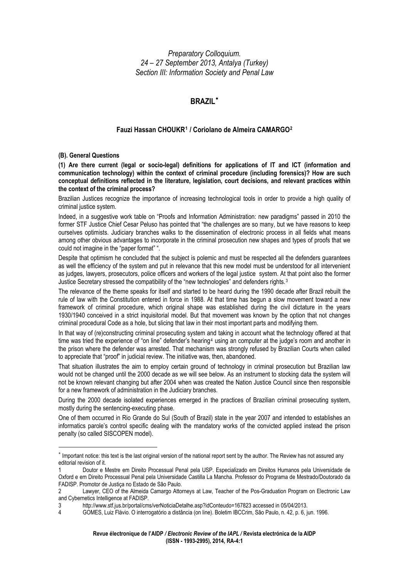*Preparatory Colloquium. 24 – 27 September 2013, Antalya (Turkey) Section III: Information Society and Penal Law* 

# **BRAZIL**[∗](#page-0-0)

# **Fauzi Hassan CHOUKR[1](#page-0-1) / Coriolano de Almeira CAMARGO[2](#page-0-2)**

#### **(B). General Questions**

**(1) Are there current (legal or socio-legal) definitions for applications of IT and ICT (information and communication technology) within the context of criminal procedure (including forensics)? How are such conceptual definitions reflected in the literature, legislation, court decisions, and relevant practices within the context of the criminal process?** 

Brazilian Justices recognize the importance of increasing technological tools in order to provide a high quality of criminal justice system.

Indeed, in a suggestive work table on "Proofs and Information Administration: new paradigms" passed in 2010 the former STF Justice Chief Cesar Peluso has pointed that "the challenges are so many, but we have reasons to keep ourselves optimists. Judiciary branches walks to the dissemination of electronic process in all fields what means among other obvious advantages to incorporate in the criminal prosecution new shapes and types of proofs that we could not imagine in the "paper format" ".

Despite that optimism he concluded that the subject is polemic and must be respected all the defenders guarantees as well the efficiency of the system and put in relevance that this new model must be understood for all intervenient as judges, lawyers, prosecutors, police officers and workers of the legal justice system. At that point also the former Justice Secretary stressed the compatibility of the "new technologies" and defenders rights.<sup>[3](#page-0-3)</sup>

The relevance of the theme speaks for itself and started to be heard during the 1990 decade after Brazil rebuilt the rule of law with the Constitution entered in force in 1988. At that time has begun a slow movement toward a new framework of criminal procedure, which original shape was established during the civil dictature in the years 1930/1940 conceived in a strict inquisitorial model. But that movement was known by the option that not changes criminal procedural Code as a hole, but slicing that law in their most important parts and modifying them.

In that way of (re)constructing criminal prosecuting system and taking in account what the technology offered at that time was tried the experience of "on line" defender's hearing<sup>[4](#page-0-4)</sup> using an computer at the judge's room and another in the prison where the defender was arrested. That mechanism was strongly refused by Brazilian Courts when called to appreciate that "proof" in judicial review. The initiative was, then, abandoned.

That situation illustrates the aim to employ certain ground of technology in criminal prosecution but Brazilian law would not be changed until the 2000 decade as we will see below. As an instrument to stocking data the system will not be known relevant changing but after 2004 when was created the Nation Justice Council since then responsible for a new framework of administration in the Judiciary branches.

During the 2000 decade isolated experiences emerged in the practices of Brazilian criminal prosecuting system, mostly during the sentencing-executing phase.

One of them occurred in Rio Grande do Sul (South of Brazil) state in the year 2007 and intended to establishes an informatics parole's control specific dealing with the mandatory works of the convicted applied instead the prison penalty (so called SISCOPEN model).

<span id="page-0-0"></span><sup>∗</sup> Important notice: this text is the last original version of the national report sent by the author. The Review has not assured any editorial revision of it.

<span id="page-0-1"></span><sup>1</sup> Doutor e Mestre em Direito Processual Penal pela USP. Especializado em Direitos Humanos pela Universidade de Oxford e em Direito Processual Penal pela Universidade Castilla La Mancha. Professor do Programa de Mestrado/Doutorado da FADISP. Promotor de Justiça no Estado de São Paulo.

<span id="page-0-2"></span><sup>2</sup> Lawyer, CEO of the Almeida Camargo Attorneys at Law, Teacher of the Pos-Graduation Program on Electronic Law and Cybernetics Intelligence at FADISP.

<span id="page-0-3"></span><sup>3</sup> http://www.stf.jus.br/portal/cms/verNoticiaDetalhe.asp?idConteudo=167823 accessed in 05/04/2013.

<span id="page-0-4"></span><sup>4</sup> GOMES, Luiz Flávio. O interrogatório a distância (on line). Boletim IBCCrim, São Paulo, n. 42, p. 6, jun. 1996.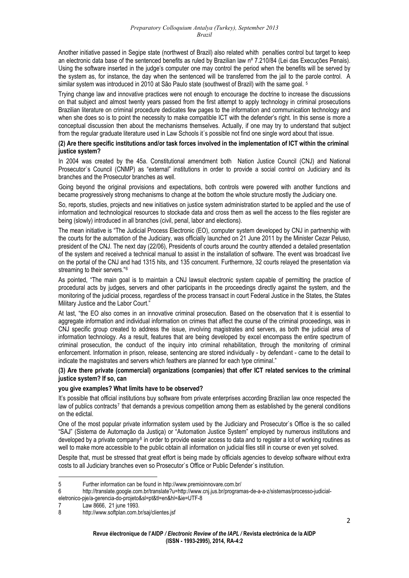Another initiative passed in Segipe state (northwest of Brazil) also related whith penalties control but target to keep an electronic data base of the sentenced benefits as ruled by Brazilian law nº 7.210/84 (Lei das Execuções Penais). Using the software inserted in the judge's computer one may control the period when the benefits will be served by the system as, for instance, the day when the sentenced will be transferred from the jail to the parole control. A similar system was introduced in 2010 at São Paulo state (southwest of Brazil) with the same goal. <sup>[5](#page-1-0)</sup>

Trying change law and innovative practices were not enough to encourage the doctrine to increase the discussions on that subject and almost twenty years passed from the first attempt to apply technology in criminal prosecutions Brazilian literature on criminal procedure dedicates few pages to the information and communication technology and when she does so is to point the necessity to make compatible ICT with the defender's right. In this sense is more a conceptual discussion then about the mechanisms themselves. Actually, if one may try to understand that subject from the regular graduate literature used in Law Schools it´s possible not find one single word about that issue.

# **(2) Are there specific institutions and/or task forces involved in the implementation of ICT within the criminal justice system?**

In 2004 was created by the 45a. Constitutional amendment both Nation Justice Council (CNJ) and National Prosecutor`s Council (CNMP) as "external" institutions in order to provide a social control on Judiciary and its branches and the Prosecutor branches as well.

Going beyond the original provisions and expectations, both controls were powered with another functions and became progressively strong mechanisms to change at the bottom the whole structure mostly the Judiciary one.

So, reports, studies, projects and new initiatives on justice system administration started to be applied and the use of information and technological resources to stockade data and cross them as well the access to the files register are being (slowly) introduced in all branches (civil, penal, labor and elections).

The mean initiative is "The Judicial Process Electronic (EO), computer system developed by CNJ in partnership with the courts for the automation of the Judiciary, was officially launched on 21 June 2011 by the Minister Cezar Peluso, president of the CNJ. The next day (22/06), Presidents of courts around the country attended a detailed presentation of the system and received a technical manual to assist in the installation of software. The event was broadcast live on the portal of the CNJ and had 1315 hits, and 135 concurrent. Furthermore, 32 courts relayed the presentation via streaming to their servers."<sup>[6](#page-1-1)</sup>

As pointed, "The main goal is to maintain a CNJ lawsuit electronic system capable of permitting the practice of procedural acts by judges, servers and other participants in the proceedings directly against the system, and the monitoring of the judicial process, regardless of the process transact in court Federal Justice in the States, the States Military Justice and the Labor Court."

At last, "the EO also comes in an innovative criminal prosecution. Based on the observation that it is essential to aggregate information and individual information on crimes that affect the course of the criminal proceedings, was in CNJ specific group created to address the issue, involving magistrates and servers, as both the judicial area of information technology. As a result, features that are being developed by excel encompass the entire spectrum of criminal prosecution, the conduct of the inquiry into criminal rehabilitation, through the monitoring of criminal enforcement. Information in prison, release, sentencing are stored individually - by defendant - came to the detail to indicate the magistrates and servers which feathers are planned for each type criminal."

# **(3) Are there private (commercial) organizations (companies) that offer ICT related services to the criminal justice system? If so, can**

# **you give examples? What limits have to be observed?**

It's possible that official institutions buy software from private enterprises according Brazilian law once respected the law of publics contracts<sup>[7](#page-1-2)</sup> that demands a previous competition among them as established by the general conditions on the edictal.

One of the most popular private information system used by the Judiciary and Prosecutor`s Office is the so called "SAJ" (Sistema de Automação da Justiça) or "Automation Justice System" employed by numerous institutions and developed by a private company<sup>[8](#page-1-3)</sup> in order to provide easier access to data and to register a lot of working routines as well to make more accessible to the public obtain all information on judicial files still in course or even yet solved.

Despite that, must be stressed that great effort is being made by officials agencies to develop software without extra costs to all Judiciary branches even so Prosecutor`s Office or Public Defender`s institution.

 5 Further information can be found in http://www.premioinnovare.com.br/

<span id="page-1-1"></span><span id="page-1-0"></span><sup>6</sup> http://translate.google.com.br/translate?u=http://www.cnj.jus.br/programas-de-a-a-z/sistemas/processo-judicialeletronico-pje/a-gerencia-do-projeto&sl=pt&tl=en&hl=&ie=UTF-8

<span id="page-1-2"></span><sup>7</sup> Law 8666, 21 june 1993.

<span id="page-1-3"></span><sup>8</sup> http://www.softplan.com.br/saj/clientes.jsf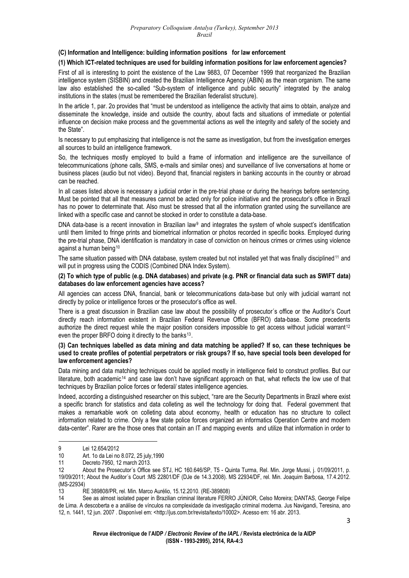### **(C) Information and Intelligence: building information positions for law enforcement**

# **(1) Which ICT-related techniques are used for building information positions for law enforcement agencies?**

First of all is interesting to point the existence of the Law 9883, 07 December 1999 that reorganized the Brazilian intelligence system (SISBIN) and created the Brazilian Intelligence Agency (ABIN) as the mean organism. The same law also established the so-called "Sub-system of intelligence and public security" integrated by the analog institutions in the states (must be remembered the Brazilian federalist structure).

In the article 1, par. 2o provides that "must be understood as intelligence the activity that aims to obtain, analyze and disseminate the knowledge, inside and outside the country, about facts and situations of immediate or potential influence on decision make process and the governmental actions as well the integrity and safety of the society and the State".

Is necessary to put emphasizing that intelligence is not the same as investigation, but from the investigation emerges all sources to build an intelligence framework.

So, the techniques mostly employed to build a frame of information and intelligence are the surveillance of telecommunications (phone calls, SMS, e-mails and similar ones) and surveillance of live conversations at home or business places (audio but not video). Beyond that, financial registers in banking accounts in the country or abroad can be reached.

In all cases listed above is necessary a judicial order in the pre-trial phase or during the hearings before sentencing. Must be pointed that all that measures cannot be acted only for police initiative and the prosecutor's office in Brazil has no power to determinate that. Also must be stressed that all the information granted using the surveillance are linked with a specific case and cannot be stocked in order to constitute a data-base.

DNA data-base is a recent innovation in Brazilian law<sup>[9](#page-2-0)</sup> and integrates the system of whole suspect's identification until them limited to fringe prints and biometrical information or photos recorded in specific books. Employed during the pre-trial phase, DNA identification is mandatory in case of conviction on heinous crimes or crimes using violence against a human being<sup>[10](#page-2-1)</sup>

The same situation passed with DNA database, system created but not installed yet that was finally disciplined<sup>[11](#page-2-2)</sup> and will put in progress using the CODIS (Combined DNA Index System).

### **(2) To which type of public (e.g. DNA databases) and private (e.g. PNR or financial data such as SWIFT data) databases do law enforcement agencies have access?**

All agencies can access DNA, financial, bank or telecommunications data-base but only with judicial warrant not directly by police or intelligence forces or the prosecutor's office as well.

There is a great discussion in Brazilian case law about the possibility of prosecutor´s office or the Auditor's Court directly reach information existent in Brazilian Federal Revenue Office (BFRO) data-base. Some precedents authorize the direct request while the major position considers impossible to get access without judicial warrant<sup>[12](#page-2-3)</sup> even the proper BRFO doing it directly to the banks<sup>[13](#page-2-4)</sup>.

**(3) Can techniques labelled as data mining and data matching be applied? If so, can these techniques be used to create profiles of potential perpetrators or risk groups? If so, have special tools been developed for law enforcement agencies?** 

Data mining and data matching techniques could be applied mostly in intelligence field to construct profiles. But our literature, both academic<sup>[14](#page-2-5)</sup> and case law don't have significant approach on that, what reflects the low use of that techniques by Brazilian police forces or federal/ states intelligence agencies.

Indeed, according a distinguished researcher on this subject, "rare are the Security Departments in Brazil where exist a specific branch for statistics and data colleting as well the technology for doing that. Federal government that makes a remarkable work on colleting data about economy, health or education has no structure to collect information related to crime. Only a few state police forces organized an informatics Operation Centre and modern data-center". Rarer are the those ones that contain an IT and mapping events and utilize that information in order to

<span id="page-2-1"></span><span id="page-2-0"></span><sup>9</sup> Lei 12.654/2012

<sup>10</sup> Art. 1o da Lei no 8.072, 25 july,1990

<sup>11</sup> Decreto 7950, 12 march 2013.

<span id="page-2-3"></span><span id="page-2-2"></span><sup>12</sup> About the Prosecutor´s Office see STJ, HC 160.646/SP, T5 - Quinta Turma, Rel. Min. Jorge Mussi, j. 01/09/2011, p. 19/09/2011; About the Auditor´s Court :MS 22801/DF (DJe de 14.3.2008). [MS 22934/DF, rel. Min. Joaquim Barbosa, 17.4.2012.](http://www.stf.jus.br/portal/processo/verProcessoAndamento.asp?numero=22934&classe=MS&origem=AP&recurso=0&tipoJulgamento=M)  [\(MS-22934\)](http://www.stf.jus.br/portal/processo/verProcessoAndamento.asp?numero=22934&classe=MS&origem=AP&recurso=0&tipoJulgamento=M) 

<span id="page-2-4"></span><sup>13</sup> RE 389808/PR, rel. Min. Marco Aurélio, 15.12.2010. (RE-389808)

<span id="page-2-5"></span><sup>14</sup> See as almost isolated paper in Brazilian criminal literature FERRO JÚNIOR, Celso Moreira; DANTAS, George Felipe de Lima. A descoberta e a análise de vínculos na complexidade da investigação criminal moderna. Jus Navigandi, Teresina, [ano](http://jus.com.br/revista/edicoes/2007)  [12](http://jus.com.br/revista/edicoes/2007), [n. 1441, 12](http://jus.com.br/revista/edicoes/2007/6/12) [jun.](http://jus.com.br/revista/edicoes/2007/6) [2007](http://jus.com.br/revista/edicoes/2007) . Disponível em: <[http://jus.com.br/revista/texto/10002](http://jus.com.br/revista/texto/10002/a-descoberta-e-a-analise-de-vinculos-na-complexidade-da-investigacao-criminal-moderna)>. Acesso em: 16 abr. 2013.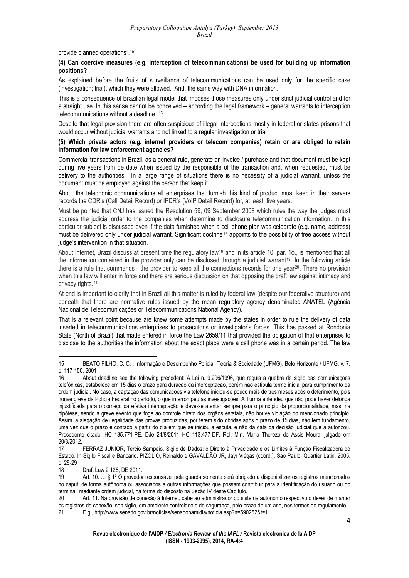provide planned operations".[15](#page-3-0)

### **(4) Can coercive measures (e.g. interception of telecommunications) be used for building up information positions?**

As explained before the fruits of surveillance of telecommunications can be used only for the specific case (investigation; trial), which they were allowed. And, the same way with DNA information.

This is a consequence of Brazilian legal model that imposes those measures only under strict judicial control and for a straight use. In this sense cannot be conceived – according the legal framework – general warrants to interception telecommunications without a deadline. [16](#page-3-1)

Despite that legal provision there are often suspicious of illegal interceptions mostly in federal or states prisons that would occur without judicial warrants and not linked to a regular investigation or trial

### **(5) Which private actors (e.g. internet providers or telecom companies) retain or are obliged to retain information for law enforcement agencies?**

Commercial transactions in Brazil, as a general rule, generate an invoice / purchase and that document must be kept during five years from de date when issued by the responsible of the transaction and, when requested, must be delivery to the authorities. In a large range of situations there is no necessity of a judicial warrant, unless the document must be employed against the person that keep it.

About the telephonic communications all enterprises that furnish this kind of product must keep in their servers records the CDR's (Call Detail Record) or IPDR's (VoIP Detail Record) for, at least, five years.

Must be pointed that CNJ has issued the Resolution 59, 09 September 2008 which rules the way the judges must address the judicial order to the companies when determine to disclosure telecommunication information. In this particular subject is discussed even if the data furnished when a cell phone plan was celebrate (e.g. name, address) must be delivered only under judicial warrant. Significant doctrine<sup>[17](#page-3-2)</sup> appoints to the possibility of free access without judge's intervention in that situation.

About Internet, Brazil discuss at present time the regulatory law[18](#page-3-3) and in its article 10, par. 1o., is mentioned that all the information contained in the provider only can be disclosed through a judicial warrant[19](#page-3-4). In the following article there is a rule that commands the provider to keep all the connections records for one year<sup>[20](#page-3-5)</sup>. There no prevision when this law will enter in force and there are serious discussion on that opposing the draft law against intimacy and privacy rights.[21](#page-3-6)

At end is important to clarify that in Brazil all this matter is ruled by federal law (despite our federative structure) and beneath that there are normative rules issued by the mean regulatory agency denominated ANATEL (Agência Nacional de Telecomunicações or Telecommunications National Agency).

That is a relevant point because are knew some attempts made by the states in order to rule the delivery of data inserted in telecommunications enterprises to prosecutor's or investigator's forces. This has passed at Rondonia State (North of Brazil) that made entered in force the Law 2659/11 that provided the obligation of that enterprises to disclose to the authorities the information about the exact place were a cell phone was in a certain period. The law

<span id="page-3-0"></span> 15 BEATO FILHO, C. C. . Informação e Desempenho Policial. Teoria & Sociedade (UFMG), Belo Horizonte / UFMG, v. 7, p. 117-150, 2001

<span id="page-3-1"></span><sup>16</sup> About deadline see the following precedent: A Lei n. 9.296/1996, que regula a quebra de sigilo das comunicações telefônicas, estabelece em 15 dias o prazo para duração da interceptação, porém não estipula termo inicial para cumprimento da ordem judicial. No caso, a captação das comunicações via telefone iniciou-se pouco mais de três meses após o deferimento, pois houve greve da Polícia Federal no período, o que interrompeu as investigações. A Turma entendeu que não pode haver delonga injustificada para o começo da efetiva interceptação e deve-se atentar sempre para o princípio da proporcionalidade, mas, na hipótese, sendo a greve evento que foge ao controle direto dos órgãos estatais, não houve violação do mencionado princípio. Assim, a alegação de ilegalidade das provas produzidas, por terem sido obtidas após o prazo de 15 dias, não tem fundamento, uma vez que o prazo é contado a partir do dia em que se iniciou a escuta, e não da data da decisão judicial que a autorizou. Precedente citado: HC 135.771-PE, DJe 24/8/2011. [HC 113.477-DF,](http://www.stj.gov.br/webstj/processo/justica/jurisprudencia.asp?tipo=num_pro&valor=HC%20113477) Rel. Min. Maria Thereza de Assis Moura, julgado em 20/3/2012.

<span id="page-3-2"></span><sup>17</sup> FERRAZ JUNIOR, Tercio Sampaio. Sigilo de Dados: o Direito à Privacidade e os Limites à Função Fiscalizadora do Estado. In Sigilo Fiscal e Bancário. PIZOLIO, Reinaldo e GAVALDÃO JR, Jayr Viégas (coord.). São Paulo. Quartier Latin. 2005. p. 28-29

<sup>18</sup> Draft Law 2.126, DE 2011.

<span id="page-3-4"></span><span id="page-3-3"></span><sup>19</sup> Art. 10. … § 1º O provedor responsável pela guarda somente será obrigado a disponibilizar os registros mencionados no caput, de forma autônoma ou associados a outras informações que possam contribuir para a identificação do usuário ou do terminal, mediante ordem judicial, na forma do disposto na Seção IV deste Capítulo.

<span id="page-3-5"></span><sup>20</sup> Art. 11. Na provisão de conexão à Internet, cabe ao administrador do sistema autônomo respectivo o dever de manter os registros de conexão, sob sigilo, em ambiente controlado e de segurança, pelo prazo de um ano, nos termos do regulamento.

<span id="page-3-6"></span><sup>21</sup> E.g., http://www.senado.gov.br/noticias/senadonamidia/noticia.asp?n=590252&t=1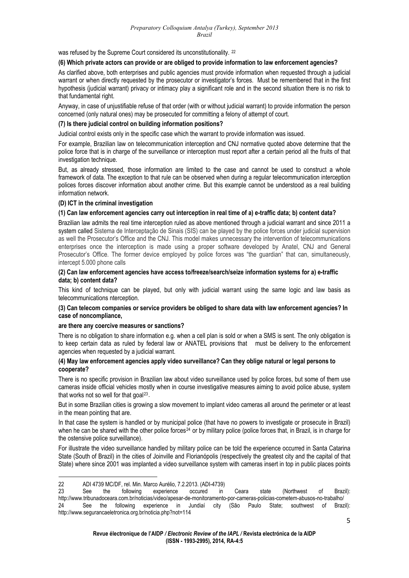was refused by the Supreme Court considered its unconstitutionality. <sup>[22](#page-4-0)</sup>

### **(6) Which private actors can provide or are obliged to provide information to law enforcement agencies?**

As clarified above, both enterprises and public agencies must provide information when requested through a judicial warrant or when directly requested by the prosecutor or investigator's forces. Must be remembered that in the first hypothesis (judicial warrant) privacy or intimacy play a significant role and in the second situation there is no risk to that fundamental right.

Anyway, in case of unjustifiable refuse of that order (with or without judicial warrant) to provide information the person concerned (only natural ones) may be prosecuted for committing a felony of attempt of court.

### **(7) Is there judicial control on building information positions?**

Judicial control exists only in the specific case which the warrant to provide information was issued.

For example, Brazilian law on telecommunication interception and CNJ normative quoted above determine that the police force that is in charge of the surveillance or interception must report after a certain period all the fruits of that investigation technique.

But, as already stressed, those information are limited to the case and cannot be used to construct a whole framework of data. The exception to that rule can be observed when during a regular telecommunication interception polices forces discover information about another crime. But this example cannot be understood as a real building information network.

### **(D) ICT in the criminal investigation**

### **(1) Can law enforcement agencies carry out interception in real time of a) e-traffic data; b) content data?**

Brazilian law admits the real time interception ruled as above mentioned through a judicial warrant and since 2011 a system called Sistema de Interceptação de Sinais (SIS) can be played by the police forces under judicial supervision as well the Prosecutor's Office and the CNJ. This model makes unnecessary the intervention of telecommunications enterprises once the interception is made using a proper software developed by Anatel, CNJ and General Prosecutor's Office. The former device employed by police forces was "the guardian" that can, simultaneously, intercept 5.000 phone calls

### **(2) Can law enforcement agencies have access to/freeze/search/seize information systems for a) e-traffic data; b) content data?**

This kind of technique can be played, but only with judicial warrant using the same logic and law basis as telecommunications nterception.

# **(3) Can telecom companies or service providers be obliged to share data with law enforcement agencies? In case of noncompliance,**

### **are there any coercive measures or sanctions?**

There is no obligation to share information e.g. when a cell plan is sold or when a SMS is sent. The only obligation is to keep certain data as ruled by federal law or ANATEL provisions that must be delivery to the enforcement agencies when requested by a judicial warrant.

### **(4) May law enforcement agencies apply video surveillance? Can they oblige natural or legal persons to cooperate?**

There is no specific provision in Brazilian law about video surveillance used by police forces, but some of them use cameras inside official vehicles mostly when in course investigative measures aiming to avoid police abuse, system that works not so well for that goal<sup>[23](#page-4-1)</sup>.

But in some Brazilian cities is growing a slow movement to implant video cameras all around the perimeter or at least in the mean pointing that are.

In that case the system is handled or by municipal police (that have no powers to investigate or prosecute in Brazil) when he can be shared with the other police forces<sup>[24](#page-4-2)</sup> or by military police (police forces that, in Brazil, is in charge for the ostensive police surveillance).

For illustrate the video surveillance handled by military police can be told the experience occurred in Santa Catarina State (South of Brazil) in the cities of Joinville and Florianópolis (respectively the greatest city and the capital of that State) where since 2001 was implanted a video surveillance system with cameras insert in top in public places points

<span id="page-4-0"></span><sup>22</sup> ADI 4739 MC/DF, rel. Min. Marco Aurélio, 7.2.2013. (ADI-4739)

<span id="page-4-2"></span><span id="page-4-1"></span><sup>23</sup> See the following experience occured in Ceara state (Northwest of Brazil): http://www.tribunadoceara.com.br/noticias/video/apesar-de-monitoramento-por-cameras-policias-cometem-abusos-no-trabalho/ 24 See the following experience in Jundiaí city (São Paulo State; southwest of Brazil): http://www.segurancaeletronica.org.br/noticia.php?not=114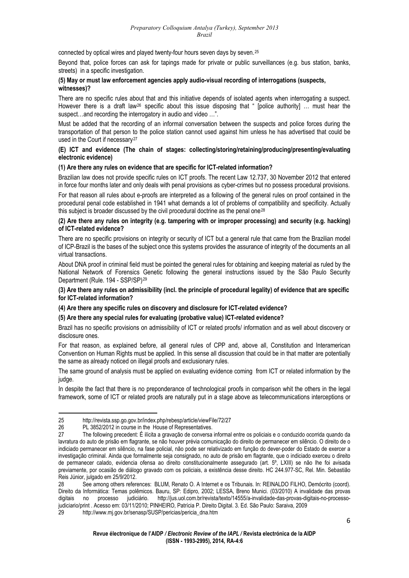connected by optical wires and played twenty-four hours seven days by seven.[25](#page-5-0)

Beyond that, police forces can ask for tapings made for private or public surveillances (e.g. bus station, banks, streets) in a specific investigation.

## **(5) May or must law enforcement agencies apply audio-visual recording of interrogations (suspects, witnesses)?**

There are no specific rules about that and this initiative depends of isolated agents when interrogating a suspect. However there is a draft law<sup>[26](#page-5-1)</sup> specific about this issue disposing that " [police authority] ... must hear the suspect…and recording the interrogatory in audio and video …".

Must be added that the recording of an informal conversation between the suspects and police forces during the transportation of that person to the police station cannot used against him unless he has advertised that could be used in the Court if necessary<sup>[27](#page-5-2)</sup>

# **(E) ICT and evidence (The chain of stages: collecting/storing/retaining/producing/presenting/evaluating electronic evidence)**

# **(1) Are there any rules on evidence that are specific for ICT-related information?**

Brazilian law does not provide specific rules on ICT proofs. The recent Law 12.737, 30 November 2012 that entered in force four months later and only deals with penal provisions as cyber-crimes but no possess procedural provisions.

For that reason all rules about e-proofs are interpreted as a following of the general rules on proof contained in the procedural penal code established in 1941 what demands a lot of problems of compatibility and specificity. Actually this subject is broader discussed by the civil procedural doctrine as the penal one[28](#page-5-3)

### **(2) Are there any rules on integrity (e.g. tampering with or improper processing) and security (e.g. hacking) of ICT-related evidence?**

There are no specific provisions on integrity or security of ICT but a general rule that came from the Brazilian model of ICP-Brazil is the bases of the subject once this systems provides the assurance of integrity of the documents an all virtual transactions.

About DNA proof in criminal field must be pointed the general rules for obtaining and keeping material as ruled by the National Network of Forensics Genetic following the general instructions issued by the São Paulo Security Department (Rule. 194 - SSP/SP)[29](#page-5-4)

### **(3) Are there any rules on admissibility (incl. the principle of procedural legality) of evidence that are specific for ICT-related information?**

### **(4) Are there any specific rules on discovery and disclosure for ICT-related evidence?**

### **(5) Are there any special rules for evaluating (probative value) ICT-related evidence?**

Brazil has no specific provisions on admissibility of ICT or related proofs/ information and as well about discovery or disclosure ones.

For that reason, as explained before, all general rules of CPP and, above all, Constitution and Interamerican Convention on Human Rights must be applied. In this sense all discussion that could be in that matter are potentially the same as already noticed on illegal proofs and exclusionary rules.

The same ground of analysis must be applied on evaluating evidence coming from ICT or related information by the judge.

In despite the fact that there is no preponderance of technological proofs in comparison whit the others in the legal framework, some of ICT or related proofs are naturally put in a stage above as telecommunications interceptions or

 25 <http://revista.ssp.go.gov.br/index.php/rebesp/article/viewFile/72/27>

<span id="page-5-0"></span><sup>26</sup> PL 3852/2012 in course in the House of Representatives.

<span id="page-5-2"></span><span id="page-5-1"></span><sup>27</sup> The following precedent: É ilícita a gravação de conversa informal entre os policiais e o conduzido ocorrida quando da lavratura do auto de prisão em flagrante, se não houver prévia comunicação do direito de permanecer em silêncio. O direito de o indiciado permanecer em silêncio, na fase policial, não pode ser relativizado em função do dever-poder do Estado de exercer a investigação criminal. Ainda que formalmente seja consignado, no auto de prisão em flagrante, que o indiciado exerceu o direito de permanecer calado, evidencia ofensa ao direito constitucionalmente assegurado (art. 5º, LXIII) se não lhe foi avisada previamente, por ocasião de diálogo gravado com os policiais, a existência desse direito. [HC 244.977-SC,](http://www.stj.gov.br/webstj/processo/justica/jurisprudencia.asp?tipo=num_pro&valor=HC%20244977) Rel. Min. Sebastião Reis Júnior, julgado em 25/9/2012.

<span id="page-5-3"></span><sup>28</sup> See among others references: BLUM, Renato O. A Internet e os Tribunais. In: REINALDO FILHO, Demócrito (coord). Direito da Informática: Temas polêmicos. Bauru, SP: Edipro, 2002; LESSA, Breno Munici. (03/2010) A invalidade das provas digitais no processo judiciário. [http://jus.uol.com.br/revista/texto/14555/a-invalidade-das-provas-digitais-no-processo](http://jus.uol.com.br/revista/texto/14555/a-invalidade-das-provas-digitais-no-processo-judiciario/print)[judiciario/print](http://jus.uol.com.br/revista/texto/14555/a-invalidade-das-provas-digitais-no-processo-judiciario/print) . Acesso em: 03/11/2010; PINHEIRO, Patrícia P. Direito Digital. 3. Ed. São Paulo: Saraiva, 2009

<span id="page-5-4"></span><sup>29</sup> http://www.mj.gov.br/senasp/SUSP/pericias/pericia\_dna.htm